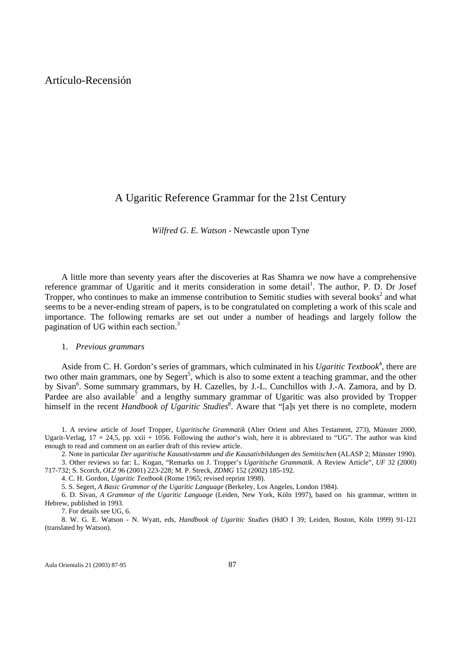# Artículo-Recensión

# A Ugaritic Reference Grammar for the 21st Century

*Wilfred G. E. Watson* - Newcastle upon Tyne

A little more than seventy years after the discoveries at Ras Shamra we now have a comprehensive reference grammar of Ugaritic and it merits consideration in some detail<sup>1</sup>. The author, P. D. Dr Josef Tropper, who continues to make an immense contribution to Semitic studies with several books<sup>2</sup> and what seems to be a never-ending stream of papers, is to be congratulated on completing a work of this scale and importance. The following remarks are set out under a number of headings and largely follow the pagination of UG within each section.<sup>3</sup>

#### 1. *Previous grammars*

Aside from C. H. Gordon's series of grammars, which culminated in his *Ugaritic Textbook*<sup>4</sup>, there are two other main grammars, one by  $Segert^5$ , which is also to some extent a teaching grammar, and the other by Sivan<sup>6</sup>. Some summary grammars, by H. Cazelles, by J.-L. Cunchillos with J.-A. Zamora, and by D. Pardee are also available<sup>7</sup> and a lengthy summary grammar of Ugaritic was also provided by Tropper himself in the recent *Handbook of Ugaritic Studies*<sup>8</sup>. Aware that "[a]s yet there is no complete, modern

1. A review article of Josef Tropper, *Ugaritische Grammatik* (Alter Orient und Altes Testament, 273), Münster 2000, Ugarit-Verlag,  $17 \times 24.5$ , pp. xxii + 1056. Following the author's wish, here it is abbreviated to "UG". The author was kind enough to read and comment on an earlier draft of this review article.

2. Note in particular *Der ugaritische Kausativstamm und die Kausativbildungen des Semitischen* (ALASP 2; Münster 1990).

3. Other reviews so far: L. Kogan, "Remarks on J. Tropper's *Ugaritische Grammatik*. A Review Article", *UF* 32 (2000) 717-732; S. Scorch, *OLZ* 96 (2001) 223-228; M. P. Streck, *ZDMG* 152 (2002) 185-192.

4. C. H. Gordon, *Ugaritic Textbook* (Rome 1965; revised reprint 1998).

5. S. Segert, *A Basic Grammar of the Ugaritic Language* (Berkeley, Los Angeles, London 1984).

6. D. Sivan, *A Grammar of the Ugaritic Language* (Leiden, New York, Köln 1997), based on his grammar, written in Hebrew, published in 1993.

7. For details see UG, 6.

8. W. G. E. Watson - N. Wyatt, eds, *Handbook of Ugaritic Studies* (HdO I 39; Leiden, Boston, Köln 1999) 91-121 (translated by Watson).

Aula Orientalis 21 (2003) 87-95 87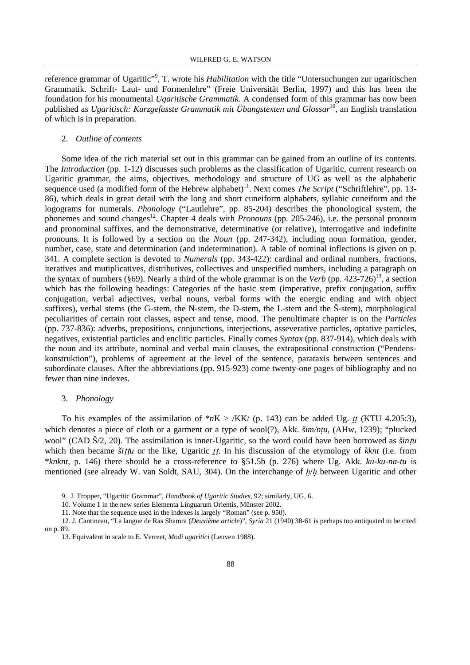reference grammar of Ugaritic"<sup>9</sup>, T. wrote his *Habilitation* with the title "Untersuchungen zur ugaritischen Grammatik. Schrift- Laut- und Formenlehre" (Freie Universität Berlin, 1997) and this has been the foundation for his monumental *Ugaritische Grammatik*. A condensed form of this grammar has now been published as *Ugaritisch: Kurzgefasste Grammatik mit Übungstexten und Glossar*10, an English translation of which is in preparation.

#### 2. *Outline of contents*

Some idea of the rich material set out in this grammar can be gained from an outline of its contents. The *Introduction* (pp. 1-12) discusses such problems as the classification of Ugaritic, current research on Ugaritic grammar, the aims, objectives, methodology and structure of UG as well as the alphabetic sequence used (a modified form of the Hebrew alphabet)<sup>11</sup>. Next comes *The Script* ("Schriftlehre", pp. 13-86), which deals in great detail with the long and short cuneiform alphabets, syllabic cuneiform and the logograms for numerals. *Phonology* ("Lautlehre", pp. 85-204) describes the phonological system, the phonemes and sound changes<sup>12</sup>. Chapter 4 deals with *Pronouns* (pp. 205-246), i.e. the personal pronoun and pronominal suffixes, and the demonstrative, determinative (or relative), interrogative and indefinite pronouns. It is followed by a section on the *Noun* (pp. 247-342), including noun formation, gender, number, case, state and determination (and indetermination). A table of nominal inflections is given on p. 341. A complete section is devoted to *Numerals* (pp. 343-422): cardinal and ordinal numbers, fractions, iteratives and mutiplicatives, distributives, collectives and unspecified numbers, including a paragraph on the syntax of numbers (§69). Nearly a third of the whole grammar is on the *Verb* (pp.  $423-726$ )<sup>13</sup>, a section which has the following headings: Categories of the basic stem (imperative, prefix conjugation, suffix conjugation, verbal adjectives, verbal nouns, verbal forms with the energic ending and with object suffixes), verbal stems (the G-stem, the N-stem, the D-stem, the L-stem and the Š-stem), morphological peculiarities of certain root classes, aspect and tense, mood. The penultimate chapter is on the *Particles* (pp. 737-836): adverbs, prepositions, conjunctions, interjections, asseverative particles, optative particles, negatives, existential particles and enclitic particles. Finally comes *Syntax* (pp. 837-914), which deals with the noun and its attribute, nominal and verbal main clauses, the extrapositional construction ("Pendenskonstruktion"), problems of agreement at the level of the sentence, parataxis between sentences and subordinate clauses. After the abbreviations (pp. 915-923) come twenty-one pages of bibliography and no fewer than nine indexes.

#### 3. *Phonology*

To his examples of the assimilation of  $*nK > /KK/$  (p. 143) can be added Ug. *tt* (KTU 4.205:3), which denotes a piece of cloth or a garment or a type of wool(?), Akk. *šim/ntu*, (AHw, 1239); "plucked wool" (CAD Š/2, 20). The assimilation is inner-Ugaritic, so the word could have been borrowed as *šin*t*u* which then became *šittu* or the like, Ugaritic *tt*. In his discussion of the etymology of *kknt* (i.e. from \**knknt*, p. 146) there should be a cross-reference to §51.5b (p. 276) where Ug. Akk. *ku-ku-na-tu* is mentioned (see already W. van Soldt, SAU, 304). On the interchange of *≠/ú* between Ugaritic and other

<sup>9.</sup> J. Tropper, "Ugaritic Grammar", *Handbook of Ugaritic Studies*, 92; similarly, UG, 6.

<sup>10.</sup> Volume 1 in the new series Elementa Linguarum Orientis, Münster 2002.

<sup>11.</sup> Note that the sequence used in the indexes is largely "Roman" (see p. 950).

<sup>12.</sup> J. Cantineau, "La langue de Ras Shamra (*Deuxième article*)", *Syria* 21 (1940) 38-61 is perhaps too antiquated to be cited on p. 89.

<sup>13.</sup> Equivalent in scale to E. Verreet, *Modi ugaritici* (Leuven 1988).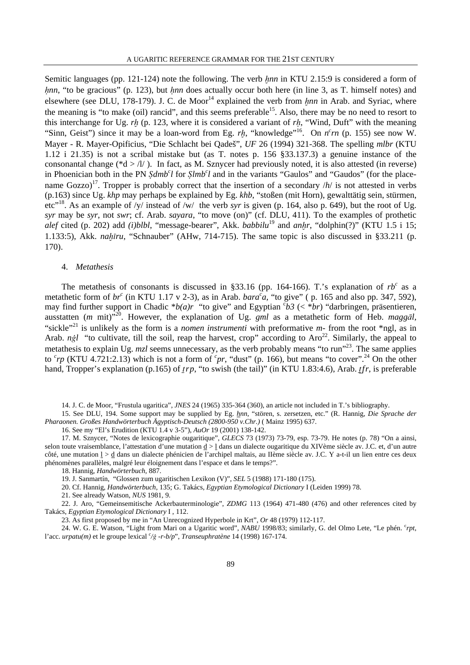Semitic languages (pp. 121-124) note the following. The verb *hnn* in KTU 2.15:9 is considered a form of *hnn*, "to be gracious" (p. 123), but *hnn* does actually occur both here (in line 3, as T. himself notes) and elsewhere (see DLU, 178-179). J. C. de Moor<sup>14</sup> explained the verb from *hnn* in Arab. and Syriac, where the meaning is "to make (oil) rancid", and this seems preferable<sup>15</sup>. Also, there may be no need to resort to this interchange for Ug. *r≠* (p. 123, where it is considered a variant of *rú*, "Wind, Duft" with the meaning "Sinn, Geist") since it may be a loan-word from Eg. *rh*, "knowledge"<sup>16</sup>. On  $n<sup>c</sup>rn$  (p. 155) see now W. Mayer - R. Mayer-Opificius, "Die Schlacht bei Qadeš", *UF* 26 (1994) 321-368. The spelling *mlbr* (KTU 1.12 i 21.35) is not a scribal mistake but (as T. notes p. 156 §33.137.3) a genuine instance of the consonantal change ( $d > \frac{1}{\lambda}$ ). In fact, as M. Sznycer had previously noted, it is also attested (in reverse) in Phoenician both in the PN *§dmb<sup>c</sup>l* for *§lmb<sup>c</sup>l* and in the variants "Gaulos" and "Gaudos" (for the placename Gozzo)<sup>17</sup>. Tropper is probably correct that the insertion of a secondary  $/h/$  is not attested in verbs (p.163) since Ug. *khp* may perhaps be explained by Eg. *khb*, "stoßen (mit Horn), gewalttätig sein, stürmen, etc"18. As an example of /y/ instead of /w/ the verb *syr* is given (p. 164, also p. 649), but the root of Ug. *syr* may be *syr*, not *swr*; cf. Arab. *sayara*, "to move (on)" (cf. DLU, 411). To the examples of prothetic *alef* cited (p. 202) add *(i)blbl*, "message-bearer", Akk. *babbilu*<sup>19</sup> and *anhr*, "dolphin(?)" (KTU 1.5 i 15; 1.133:5), Akk. *nah<sub>1</sub>ru*, "Schnauber" (AHw, 714-715). The same topic is also discussed in §33.211 (p. 170).

## 4. *Metathesis*

The metathesis of consonants is discussed in §33.16 (pp. 164-166). T.'s explanation of  $rb^c$  as a metathetic form of  $br^c$  (in KTU 1.17 v 2-3), as in Arab. *bara*<sup>*c*</sup>*a*, "to give" (p. 165 and also pp. 347, 592), may find further support in Chadic  $*b(a)r$  "to give" and Egyptian  $\epsilon b3$  (<  $*br$ ) "darbringen, präsentieren, ausstatten (*m* mit)"<sup>20</sup>. However, the explanation of Ug. *gml* as a metathetic form of Heb. *maggal*, "sickle"<sup>21</sup> is unlikely as the form is a *nomen instrumenti* with preformative *m*- from the root \*ngl, as in Arab.  $n\dot{gl}$  "to cultivate, till the soil, reap the harvest, crop" according to Aro<sup>22</sup>. Similarly, the appeal to metathesis to explain Ug. *mzl* seems unnecessary, as the verb probably means "to run"23. The same applies to  $c_{rp}$  (KTU 4.721:2.13) which is not a form of  $c_{pr}$ , "dust" (p. 166), but means "to cover".<sup>24</sup> On the other hand, Tropper's explanation (p.165) of *trp*, "to swish (the tail)" (in KTU 1.83:4.6), Arab. *tfr*, is preferable

14. J. C. de Moor, "Frustula ugaritica", *JNES* 24 (1965) 335-364 (360), an article not included in T.'s bibliography.

15. See DLU, 194. Some support may be supplied by Eg. *hnn*, "stören, s. zersetzen, etc." (R. Hannig, *Die Sprache der Pharaonen. Großes Handwörterbuch Ägyptisch-Deutsch (2800-950 v.Chr.)* ( Mainz 1995) 637.

16. See my "El's Erudition (KTU 1.4 v 3-5"), *AuOr* 19 (2001) 138-142.

17. M. Sznycer, "Notes de lexicographie ougaritique", *GLECS* 73 (1973) 73-79, esp. 73-79. He notes (p. 78) "On a ainsi, selon toute vraisemblance, l'attestation d'une mutation  $\underline{d} > \underline{l}$  dans un dialecte ougaritique du XIVème siècle av. J.C. et, d'un autre côté, une mutation l > d dans un dialecte phénicien de l'archipel maltais, au IIème siècle av. J.C. Y a-t-il un lien entre ces deux phénomènes parallèles, malgré leur éloignement dans l'espace et dans le temps?".

18. Hannig, *Handwörterbuch*, 887.

19. J. Sanmartín, "Glossen zum ugaritischen Lexikon (V)", *SEL* 5 (1988) 171-180 (175).

20. Cf. Hannig, *Handwörterbuch*, 135; G. Takács, *Egyptian Etymological Dictionary* I (Leiden 1999) 78.

21. See already Watson, *NUS* 1981, 9.

22. J. Aro, "Gemeinsemitische Ackerbauterminologie", *ZDMG* 113 (1964) 471-480 (476) and other references cited by Takács, *Egyptian Etymological Dictionary* I , 112.

23. As first proposed by me in "An Unrecognized Hyperbole in Krt", *Or* 48 (1979) 112-117.

24. W. G. E. Watson, "Light from Mari on a Ugaritic word", *NABU* 1998/83; similarly, G. del Olmo Lete, "Le phén. <sup>c</sup>rpt, l'acc. *urpatu(m)* et le groupe lexical *<sup>c</sup> /\ -r-b/p*", *Transeuphratène* 14 (1998) 167-174.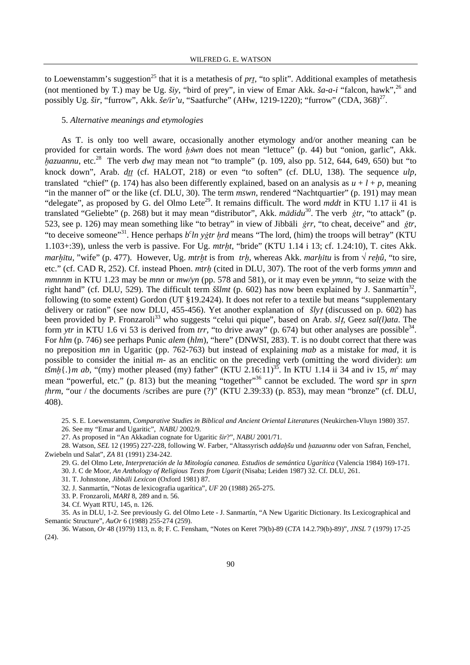to Loewenstamm's suggestion<sup>25</sup> that it is a metathesis of *prt*, "to split". Additional examples of metathesis (not mentioned by T.) may be Ug.  $\delta i$ y, "bird of prey", in view of Emar Akk.  $\delta a$ - $a$ -i "falcon, hawk",  $2^6$  and possibly Ug. *šir*, "furrow", Akk. *še/ir'u*, "Saatfurche" (AHw, 1219-1220); "furrow" (CDA, 368)<sup>27</sup>.

## 5. *Alternative meanings and etymologies*

As T. is only too well aware, occasionally another etymology and/or another meaning can be provided for certain words. The word *h*swn does not mean "lettuce" (p. 44) but "onion, garlic", Akk. *hazuannu*, etc.<sup>28</sup> The verb *dwt* may mean not "to trample" (p. 109, also pp. 512, 644, 649, 650) but "to knock down", Arab. *dtt* (cf. HALOT, 218) or even "to soften" (cf. DLU, 138). The sequence *ulp*, translated "chief" (p. 174) has also been differently explained, based on an analysis as  $u + l + p$ , meaning "in the manner of" or the like (cf. DLU, 30). The term *mswn*, rendered "Nachtquartier" (p. 191) may mean "delegate", as proposed by G. del Olmo Lete<sup>29</sup>. It remains difficult. The word *mddt* in KTU 1.17 ii 41 is translated "Geliebte" (p. 268) but it may mean "distributor", Akk. *mādidu*<sup>30</sup>. The verb *ġtr*, "to attack" (p. 523, see p. 126) may mean something like "to betray" in view of Jibbali  $\dot{r}$ , "to cheat, deceive" and  $\dot{r}$ , "to deceive someone"<sup>31</sup>. Hence perhaps  $b^c\ln y$ *gtr hrd* means "The lord, (him) the troops will betray" (KTU) 1.103+:39), unless the verb is passive. For Ug. *mtr≠t*, "bride" (KTU 1.14 i 13; cf. 1.24:10), T. cites Akk. *marh* $\bar{t}$ *tu*, "wife" (p. 477). However, Ug. *mtrht* is from *trh*, whereas Akk. *marh* $\bar{t}$ *tu* is from  $\sqrt{\pi}$ *rehû*, "to sire, etc." (cf. CAD R, 252). Cf. instead Phoen. *mtrú* (cited in DLU, 307). The root of the verb forms *ymnn* and *mmnnm* in KTU 1.23 may be *mnn* or *mw/yn* (pp. 578 and 581), or it may even be *ymnn*, "to seize with the right hand" (cf. DLU, 529). The difficult term  $\delta\delta lmt$  (p. 602) has now been explained by J. Sanmartín<sup>32</sup>, following (to some extent) Gordon (UT §19.2424). It does not refer to a textile but means "supplementary delivery or ration" (see now DLU, 455-456). Yet another explanation of *šly*t (discussed on p. 602) has been provided by P. Fronzaroli<sup>33</sup> who suggests "celui qui pique", based on Arab. *slt*, Geez *sal(l)ata*. The form *ytr* in KTU 1.6 vi 53 is derived from *trr*, "to drive away" (p. 674) but other analyses are possible<sup>34</sup>. For *hlm* (p. 746) see perhaps Punic *alem* (*hlm*), "here" (DNWSI, 283). T. is no doubt correct that there was no preposition *mn* in Ugaritic (pp. 762-763) but instead of explaining *mab* as a mistake for *mad*, it is possible to consider the initial *m*- as an enclitic on the preceding verb (omitting the word divider): *um tšmh*{.*}m ab*, "(my) mother pleased (my) father" (KTU 2.16:11)<sup>35</sup>. In KTU 1.14 ii 34 and iv 15, *m<sup>c</sup>* may mean "powerful, etc." (p. 813) but the meaning "together"36 cannot be excluded. The word *spr* in *sprn thrm*, "our / the documents /scribes are pure (?)" (KTU 2.39:33) (p. 853), may mean "bronze" (cf. DLU, 408).

25. S. E. Loewenstamm, *Comparative Studies in Biblical and Ancient Oriental Literatures* (Neukirchen-Vluyn 1980) 357. 26. See my "Emar and Ugaritic", *NABU* 2002/9.

27. As proposed in "An Akkadian cognate for Ugaritic *šir*?", *NABU* 2001/71.

28. Watson, *SEL* 12 (1995) 227-228, following W. Farber, "Altassyrisch *adda≠šu* und *≠azuannu* oder von Safran, Fenchel, Zwiebeln und Salat", *ZA* 81 (1991) 234-242.

29. G. del Olmo Lete, *Interpretación de la Mitología cananea. Estudios de semántica Ugarítica* (Valencia 1984) 169-171. 30. J. C de Moor, *An Anthology of Religious Texts from Ugarit* (Nisaba; Leiden 1987) 32. Cf. DLU, 261.

31. T. Johnstone, *Jibb¿li Lexicon* (Oxford 1981) 87.

32. J. Sanmartín, "Notas de lexicografia ugarítica", *UF* 20 (1988) 265-275.

33. P. Fronzaroli, *MARI* 8, 289 and n. 56.

34. Cf. Wyatt RTU, 145, n. 126.

35. As in DLU, 1-2. See previously G. del Olmo Lete - J. Sanmartín, "A New Ugaritic Dictionary. Its Lexicographical and Semantic Structure", *AuOr* 6 (1988) 255-274 (259).

36. Watson, *Or* 48 (1979) 113, n. 8; F. C. Fensham, "Notes on Keret 79(b)-89 (*CTA* 14.2.79(b)-89)", *JNSL* 7 (1979) 17-25 (24).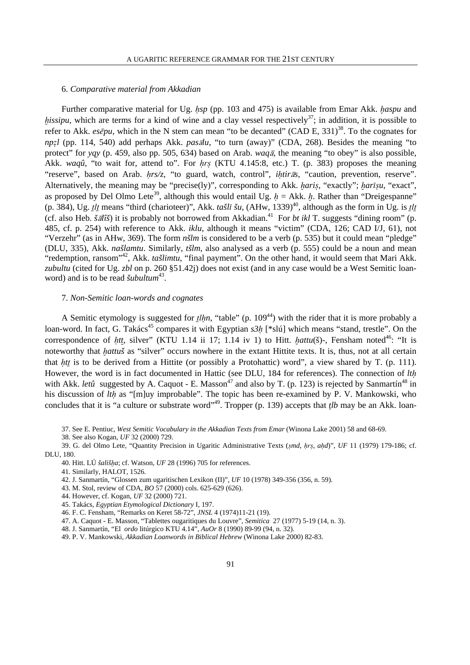# 6. *Comparative material from Akkadian*

Further comparative material for Ug. *hsp* (pp. 103 and 475) is available from Emar Akk. *haspu* and *hissipu*, which are terms for a kind of wine and a clay vessel respectively<sup>37</sup>; in addition, it is possible to refer to Akk. *esēpu*, which in the N stem can mean "to be decanted" (CAD E, 331)<sup>38</sup>. To the cognates for *npzl* (pp. 114, 540) add perhaps Akk. *pasālu*, "to turn (away)" (CDA, 268). Besides the meaning "to protect" for *yqy* (p. 459, also pp. 505, 634) based on Arab. *waq* $\bar{a}$ , the meaning "to obey" is also possible, Akk. *waqû*, "to wait for, attend to". For *hrs* (KTU 4.145:8, etc.) T. (p. 383) proposes the meaning "reserve", based on Arab. *hrs/z*, "to guard, watch, control", *ihtiras*, "caution, prevention, reserve". Alternatively, the meaning may be "precise(ly)", corresponding to Akk. *haris*, "exactly"; *harisu*, "exact", as proposed by Del Olmo Lete<sup>39</sup>, although this would entail Ug.  $h = Akk$ .  $h$ . Rather than "Dreigespanne" (p. 384), Ug.  $t\ell$ <sub>*l*</sub> means "third (charioteer)", Akk. *tašl* $\bar{t}$  *šu*, (AHw, 1339)<sup>40</sup>, although as the form in Ug. is  $t\ell$ (cf. also Heb.  $\check{s}d\hat{t}\check{s}$ ) it is probably not borrowed from Akkadian.<sup>41</sup> For *bt ikl* T. suggests "dining room" (p. 485, cf. p. 254) with reference to Akk. *iklu*, although it means "victim" (CDA, 126; CAD I/J, 61), not "Verzehr" (as in AHw, 369). The form *nšlm* is considered to be a verb (p. 535) but it could mean "pledge" (DLU, 335), Akk. *našlamtu*. Similarly, *tšlm*, also analysed as a verb (p. 555) could be a noun and mean "redemption, ransom"<sup>42</sup>, Akk. *tašlimtu*, "final payment". On the other hand, it would seem that Mari Akk. *zubultu* (cited for Ug. *zbl* on p. 260 §51.42j) does not exist (and in any case would be a West Semitic loanword) and is to be read *šubultum*<sup>43</sup>.

## 7. *Non-Semitic loan-words and cognates*

A Semitic etymology is suggested for *<u>t</u>lhn*, "table" (p. 109<sup>44</sup>) with the rider that it is more probably a loan-word. In fact, G. Takács<sup>45</sup> compares it with Egyptian  $s3h$  [\*slú] which means "stand, trestle". On the correspondence of *htt*, silver" (KTU 1.14 ii 17; 1.14 iv 1) to Hitt. *hattu*(š)-, Fensham noted<sup>46</sup>: "It is noteworthy that *hattuš* as "silver" occurs nowhere in the extant Hittite texts. It is, thus, not at all certain that *htt* is to be derived from a Hittite (or possibly a Protohattic) word", a view shared by T. (p. 111). However, the word is in fact documented in Hattic (see DLU, 184 for references). The connection of *ltú* with Akk. *letû* suggested by A. Caquot - E. Masson<sup>47</sup> and also by T. (p. 123) is rejected by Sanmartín<sup>48</sup> in his discussion of *lth* as "[m]uy improbable". The topic has been re-examined by P. V. Mankowski, who concludes that it is "a culture or substrate word"<sup>49</sup>. Tropper (p. 139) accepts that *tlb* may be an Akk. loan-

37. See E. Pentiuc, *West Semitic Vocabulary in the Akkadian Texts from Emar* (Winona Lake 2001) 58 and 68-69.

38. See also Kogan, *UF* 32 (2000) 729.

39. G. del Olmo Lete, "Quantity Precision in Ugaritic Administrative Texts (*§md*, *úr§*, *aúd*)", *UF* 11 (1979) 179-186; cf. DLU, 180.

40. Hitt. LÚ *šališ≠a*; cf. Watson, *UF* 28 (1996) 705 for references.

41. Similarly, HALOT, 1526.

42. J. Sanmartín, "Glossen zum ugaritischen Lexikon (II)", *UF* 10 (1978) 349-356 (356, n. 59).

43. M. Stol, review of CDA, *BO* 57 (2000) cols. 625-629 (626).

44. However, cf. Kogan, *UF* 32 (2000) 721.

45. Takács, *Egyptian Etymological Dictionary* I, 197.

46. F. C. Fensham, "Remarks on Keret 58-72", *JNSL* 4 (1974)11-21 (19).

47. A. Caquot - E. Masson, "Tablettes ougaritiques du Louvre", *Semitica* 27 (1977) 5-19 (14, n. 3).

48. J. Sanmartín, "El *ordo* litúrgico KTU 4.14", *AuOr* 8 (1990) 89-99 (94, n. 32).

49. P. V. Mankowski, *Akkadian Loanwords in Biblical Hebrew* (Winona Lake 2000) 82-83.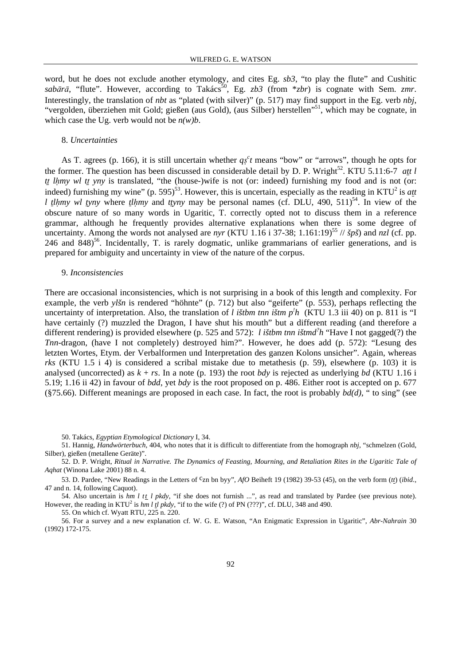word, but he does not exclude another etymology, and cites Eg. *sb3*, "to play the flute" and Cushitic  $sab\bar{a}\bar{r}\bar{a}$ , "flute". However, according to Takács<sup>50</sup>, Eg. *zb3* (from \**zbr*) is cognate with Sem. *zmr*. Interestingly, the translation of *nbt* as "plated (with silver)" (p. 517) may find support in the Eg. verb *nbj*, "vergolden, überziehen mit Gold; gießen (aus Gold), (aus Silber) herstellen"<sup>51</sup>, which may be cognate, in which case the Ug. verb would not be *n(w)b*.

## 8. *Uncertainties*

As T. agrees (p. 166), it is still uncertain whether  $q<sub>s</sub><sup>c</sup>t$  means "bow" or "arrows", though he opts for the former. The question has been discussed in considerable detail by D. P. Wright<sup>52</sup>. KTU 5.11:6-7 *att l tt lhmy wl tt yny* is translated, "the (house-)wife is not (or: indeed) furnishing my food and is not (or: indeed) furnishing my wine" (p. 595)<sup>53</sup>. However, this is uncertain, especially as the reading in KTU<sup>2</sup> is  $at$ *l tlhmy wl tyny* where *tlhmy* and *ttyny* may be personal names (cf. DLU, 490, 511)<sup>54</sup>. In view of the obscure nature of so many words in Ugaritic, T. correctly opted not to discuss them in a reference grammar, although he frequently provides alternative explanations when there is some degree of uncertainty. Among the words not analysed are *nyr* (KTU 1.16 i 37-38; 1.161:19)<sup>55</sup> //  $\delta p\delta$ ) and *nzl* (cf. pp. 246 and 848)<sup>56</sup>. Incidentally, T. is rarely dogmatic, unlike grammarians of earlier generations, and is prepared for ambiguity and uncertainty in view of the nature of the corpus.

## 9. *Inconsistencies*

There are occasional inconsistencies, which is not surprising in a book of this length and complexity. For example, the verb *ylšn* is rendered "höhnte" (p. 712) but also "geiferte" (p. 553), perhaps reflecting the uncertainty of interpretation. Also, the translation of *l ištbm tnn ištm p<sup><i>'h*</sup> (KTU 1.3 iii 40)</sub> on p. 811 is "I have certainly (?) muzzled the Dragon, I have shut his mouth" but a different reading (and therefore a different rendering) is provided elsewhere (p. 525 and 572): *l ištbm tnn ištmd? h* "Have I not gagged(?) the *Tnn-*dragon, (have I not completely) destroyed him?". However, he does add (p. 572): "Lesung des letzten Wortes, Etym. der Verbalformen und Interpretation des ganzen Kolons unsicher". Again, whereas *rks* (KTU 1.5 i 4) is considered a scribal mistake due to metathesis (p. 59), elsewhere (p. 103) it is analysed (uncorrected) as  $k + rs$ . In a note (p. 193) the root *bdy* is rejected as underlying *bd* (KTU 1.16 i 5.19; 1.16 ii 42) in favour of *bdd*, yet *bdy* is the root proposed on p. 486. Either root is accepted on p. 677 (§75.66). Different meanings are proposed in each case. In fact, the root is probably *bd(d)*, " to sing" (see

50. Takács, *Egyptian Etymological Dictionary* I, 34.

51. Hannig, *Handwörterbuch*, 404, who notes that it is difficult to differentiate from the homograph *nbj*, "schmelzen (Gold, Silber), gießen (metallene Geräte)".

52. D. P. Wright, *Ritual in Narrative. The Dynamics of Feasting, Mourning, and Retaliation Rites in the Ugaritic Tale of Aqhat* (Winona Lake 2001) 88 n. 4.

53. D. Pardee, "New Readings in the Letters of <sup>c</sup>zn bn byy", *AfO* Beiheft 19 (1982) 39-53 (45), on the verb form (*tt*) (*ibid.*, 47 and n. 14, following Caquot).

54. Also uncertain is *hm l tt l pkdy*, "if she does not furnish ...", as read and translated by Pardee (see previous note). However, the reading in  $KTU^2$  is *hm l tl pkdy*, "if to the wife (?) of PN (???)", cf. DLU, 348 and 490.

55. On which cf. Wyatt RTU, 225 n. 220.

56. For a survey and a new explanation cf. W. G. E. Watson, "An Enigmatic Expression in Ugaritic", *Abr-Nahrain* 30 (1992) 172-175.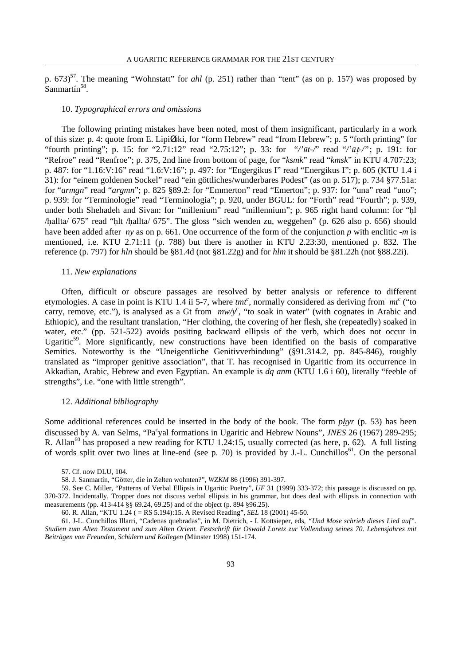p. 673)<sup>57</sup>. The meaning "Wohnstatt" for *ahl* (p. 251) rather than "tent" (as on p. 157) was proposed by Sanmartín<sup>58</sup>.

#### 10. *Typographical errors and omissions*

The following printing mistakes have been noted, most of them insignificant, particularly in a work of this size: p. 4: quote from E. LipiØski, for "form Hebrew" read "from Hebrew"; p. 5 "forth printing" for "fourth printing"; p. 15: for "2.71:12" read "2.75:12"; p. 33: for "/' $\bar{u}t$ -/" read "/' $\bar{u}t$ -/"; p. 191: for "Refroe" read "Renfroe"; p. 375, 2nd line from bottom of page, for "*ksmk*" read "*kmsk*" in KTU 4.707:23; p. 487: for "1.16:V:16" read "1.6:V:16"; p. 497: for "Engergikus I" read "Energikus I"; p. 605 (KTU 1.4 i 31): for "einem goldenen Sockel" read "ein göttliches/wunderbares Podest" (as on p. 517); p. 734 §77.51a: for "armgn" read "argmn"; p. 825 §89.2: for "Emmerton" read "Emerton"; p. 937: for "una" read "uno"; p. 939: for "Terminologie" read "Terminologia"; p. 920, under BGUL: for "Forth" read "Fourth"; p. 939, under both Shehadeh and Sivan: for "millenium" read "millennium"; p. 965 right hand column: for "úl /hallta/ 675" read "hlt /hallta/ 675". The gloss "sich wenden zu, weggehen" (p. 626 also p. 656) should have been added after *ny* as on p. 661. One occurrence of the form of the conjunction *p* with enclitic *-m* is mentioned, i.e. KTU 2.71:11 (p. 788) but there is another in KTU 2.23:30, mentioned p. 832. The reference (p. 797) for *hln* should be §81.4d (not §81.22g) and for *hlm* it should be §81.22h (not §88.22i).

#### 11. *New explanations*

Often, difficult or obscure passages are resolved by better analysis or reference to different etymologies. A case in point is KTU 1.4 ii 5-7, where  $tmt^c$ , normally considered as deriving from  $mt^c$  ("to carry, remove, etc."), is analysed as a Gt from  $mw/y^c$ , "to soak in water" (with cognates in Arabic and Ethiopic), and the resultant translation, "Her clothing, the covering of her flesh, she (repeatedly) soaked in water, etc." (pp. 521-522) avoids positing backward ellipsis of the verb, which does not occur in Ugaritic<sup>59</sup>. More significantly, new constructions have been identified on the basis of comparative Semitics. Noteworthy is the "Uneigentliche Genitivverbindung" (§91.314.2, pp. 845-846), roughly translated as "improper genitive association", that T. has recognised in Ugaritic from its occurrence in Akkadian, Arabic, Hebrew and even Egyptian. An example is *dq anm* (KTU 1.6 i 60), literally "feeble of strengths", i.e. "one with little strength".

## 12. *Additional bibliography*

Some additional references could be inserted in the body of the book. The form *phyr* (p. 53) has been discussed by A. van Selms, "Pa<sup>c</sup>yal formations in Ugaritic and Hebrew Nouns", *JNES* 26 (1967) 289-295; R. Allan<sup>60</sup> has proposed a new reading for KTU 1.24:15, usually corrected (as here, p. 62). A full listing of words split over two lines at line-end (see p. 70) is provided by J.-L. Cunchillos<sup>61</sup>. On the personal

60. R. Allan, "KTU 1.24 ( = RS 5.194):15. A Revised Reading", *SEL* 18 (2001) 45-50.

61. J-L. Cunchillos Illarri, "Cadenas quebradas", in M. Dietrich, - I. Kottsieper, eds, *"Und Mose schrieb dieses Lied auf". Studien zum Alten Testament und zum Alten Orient. Festschrift für Oswald Loretz zur Vollendung seines 70. Lebensjahres mit Beiträgen von Freunden, Schülern und Kollegen* (Münster 1998) 151-174.

<sup>57.</sup> Cf. now DLU, 104.

<sup>58.</sup> J. Sanmartín, "Götter, die in Zelten wohnten?", *WZKM* 86 (1996) 391-397.

<sup>59.</sup> See C. Miller, "Patterns of Verbal Ellipsis in Ugaritic Poetry", *UF* 31 (1999) 333-372; this passage is discussed on pp. 370-372. Incidentally, Tropper does not discuss verbal ellipsis in his grammar, but does deal with ellipsis in connection with measurements (pp. 413-414 §§ 69.24, 69.25) and of the object (p. 894 §96.25).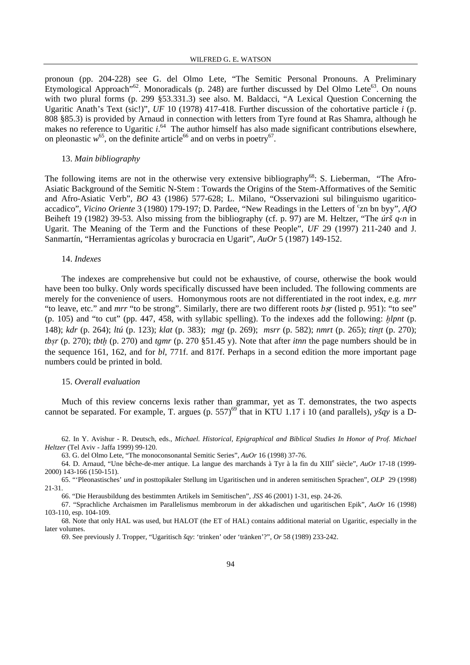pronoun (pp. 204-228) see G. del Olmo Lete, "The Semitic Personal Pronouns. A Preliminary Etymological Approach<sup>"62</sup>. Monoradicals (p. 248) are further discussed by Del Olmo Lete<sup>63</sup>. On nouns with two plural forms (p. 299 §53.331.3) see also. M. Baldacci, "A Lexical Question Concerning the Ugaritic Anath's Text (sic!)", *UF* 10 (1978) 417-418. Further discussion of the cohortative particle *i* (p. 808 §85.3) is provided by Arnaud in connection with letters from Tyre found at Ras Shamra, although he makes no reference to Ugaritic *i*.<sup>64</sup> The author himself has also made significant contributions elsewhere, on pleonastic  $w^{65}$ , on the definite article<sup>66</sup> and on verbs in poetry<sup>67</sup>.

## 13. *Main bibliography*

The following items are not in the otherwise very extensive bibliography<sup>68</sup>: S. Lieberman, "The Afro-Asiatic Background of the Semitic N-Stem : Towards the Origins of the Stem-Afformatives of the Semitic and Afro-Asiatic Verb", *BO* 43 (1986) 577-628; L. Milano, "Osservazioni sul bilinguismo ugariticoaccadico", *Vicino Oriente* 3 (1980) 179-197; D. Pardee, "New Readings in the Letters of <sup>c</sup>zn bn byy", *AfO* Beiheft 19 (1982) 39-53. Also missing from the bibliography (cf. p. 97) are M. Heltzer, "The *úrš q‹n* in Ugarit. The Meaning of the Term and the Functions of these People", *UF* 29 (1997) 211-240 and J. Sanmartín, "Herramientas agrícolas y burocracia en Ugarit", *AuOr* 5 (1987) 149-152.

#### 14. *Indexes*

The indexes are comprehensive but could not be exhaustive, of course, otherwise the book would have been too bulky. Only words specifically discussed have been included. The following comments are merely for the convenience of users. Homonymous roots are not differentiated in the root index, e.g. *mrr* "to leave, etc." and *mrr* "to be strong". Similarly, there are two different roots *bsr* (listed p. 951): "to see" (p. 105) and "to cut" (pp. 447, 458, with syllabic spelling). To the indexes add the following: *≠lpnt* (p. 148); *kdr* (p. 264); *ltú* (p. 123); *klat* (p. 383); *mg¨* (p. 269); *msrr* (p. 582); *nmrt* (p. 265); *tin¨t* (p. 270); *tb§r* (p. 270); *tbt≠* (p. 270) and *tgmr* (p. 270 §51.45 y). Note that after *itnn* the page numbers should be in the sequence 161, 162, and for *bl*, 771f. and 817f. Perhaps in a second edition the more important page numbers could be printed in bold.

## 15. *Overall evaluation*

Much of this review concerns lexis rather than grammar, yet as T. demonstrates, the two aspects cannot be separated. For example, T. argues (p. 557)<sup>69</sup> that in KTU 1.17 i 10 (and parallels), *yšqy* is a D-

62. In Y. Avishur - R. Deutsch, eds., *Michael. Historical, Epigraphical and Biblical Studies In Honor of Prof. Michael Heltzer* (Tel Aviv - Jaffa 1999) 99-120.

63. G. del Olmo Lete, "The monoconsonantal Semitic Series", *AuOr* 16 (1998) 37-76.

- 64. D. Arnaud, "Une bêche-de-mer antique. La langue des marchands à Tyr à la fin du XIII<sup>e</sup> siècle", *AuOr* 17-18 (1999-2000) 143-166 (150-151).
- 65. "'Pleonastisches' *und* in posttopikaler Stellung im Ugaritischen und in anderen semitischen Sprachen", *OLP* 29 (1998) 21-31.

66. "Die Herausbildung des bestimmten Artikels im Semitischen", *JSS* 46 (2001) 1-31, esp. 24-26.

67. "Sprachliche Archaismen im Parallelismus membrorum in der akkadischen und ugaritischen Epik", *AuOr* 16 (1998) 103-110, esp. 104-109.

68. Note that only HAL was used, but HALOT (the ET of HAL) contains additional material on Ugaritic, especially in the later volumes.

69. See previously J. Tropper, "Ugaritisch *šqy*: 'trinken' oder 'tränken'?", *Or* 58 (1989) 233-242.